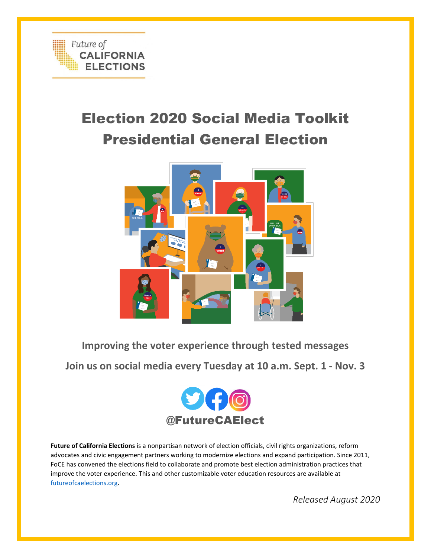

# Election 2020 Social Media Toolkit Presidential General Election



**Improving the voter experience through tested messages**

**Join us on social media every Tuesday at 10 a.m. Sept. 1 - Nov. 3**



**Future of California Elections** is a nonpartisan network of election officials, civil rights organizations, reform advocates and civic engagement partners working to modernize elections and expand participation. Since 2011, FoCE has convened the elections field to collaborate and promote best election administration practices that improve the voter experience. This and other customizable voter education resources are available at [futureofcaelections.org.](file:///C:/Users/astri/OneDrive/Desktop/futureofcaelections.org) 

*Released August 2020*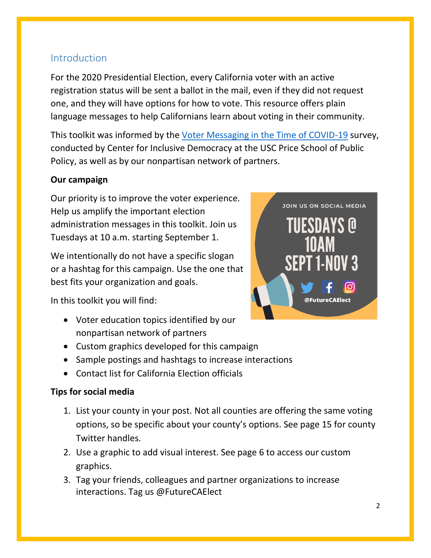## Introduction

For the 2020 Presidential Election, every California voter with an active registration status will be sent a ballot in the mail, even if they did not request one, and they will have options for how to vote. This resource offers plain language messages to help Californians learn about voting in their community.

This toolkit was informed by the [Voter Messaging in the Time of COVID-19](https://static1.squarespace.com/static/57b8c7ce15d5dbf599fb46ab/t/5f3307ec6569af05af274bb7/1597179885893/CID+Voter+Messaging+in+the+Time+of+COVID-19+-+Fact+Sheet+-+FINAL.pdf) survey, conducted by Center for Inclusive Democracy at the USC Price School of Public Policy, as well as by our nonpartisan network of partners.

#### **Our campaign**

Our priority is to improve the voter experience. Help us amplify the important election administration messages in this toolkit. Join us Tuesdays at 10 a.m. starting September 1.

We intentionally do not have a specific slogan or a hashtag for this campaign. Use the one that best fits your organization and goals.

In this toolkit you will find:

- Voter education topics identified by our nonpartisan network of partners
- Custom graphics developed for this campaign
- Sample postings and hashtags to increase interactions
- Contact list for California Election officials

#### **Tips for social media**

- 1. List your county in your post. Not all counties are offering the same voting options, so be specific about your county's options. See page 15 for county Twitter handles.
- 2. Use a graphic to add visual interest. See page 6 to access our custom graphics.
- 3. Tag your friends, colleagues and partner organizations to increase interactions. Tag us @FutureCAElect

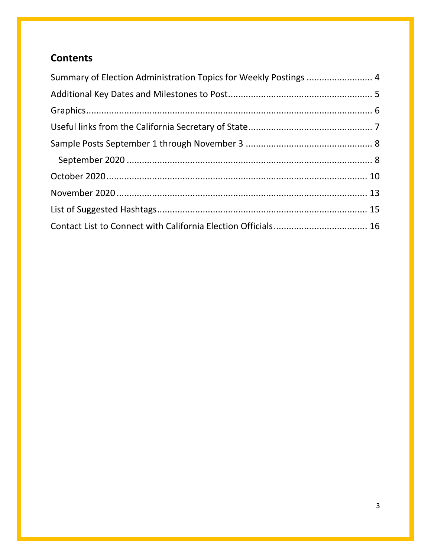## **Contents**

| Summary of Election Administration Topics for Weekly Postings  4 |  |
|------------------------------------------------------------------|--|
|                                                                  |  |
|                                                                  |  |
|                                                                  |  |
|                                                                  |  |
|                                                                  |  |
|                                                                  |  |
|                                                                  |  |
|                                                                  |  |
|                                                                  |  |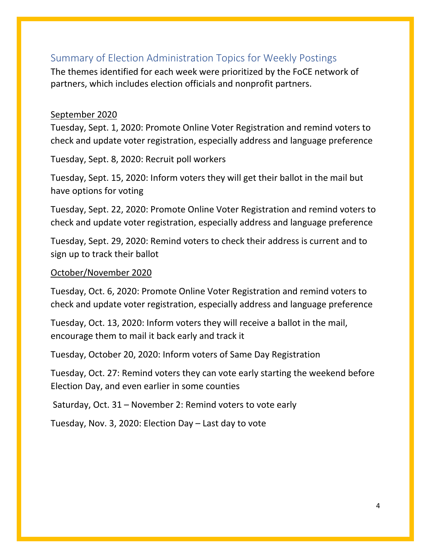## <span id="page-3-0"></span>Summary of Election Administration Topics for Weekly Postings

The themes identified for each week were prioritized by the FoCE network of partners, which includes election officials and nonprofit partners.

#### September 2020

Tuesday, Sept. 1, 2020: Promote Online Voter Registration and remind voters to check and update voter registration, especially address and language preference

Tuesday, Sept. 8, 2020: Recruit poll workers

Tuesday, Sept. 15, 2020: Inform voters they will get their ballot in the mail but have options for voting

Tuesday, Sept. 22, 2020: Promote Online Voter Registration and remind voters to check and update voter registration, especially address and language preference

Tuesday, Sept. 29, 2020: Remind voters to check their address is current and to sign up to track their ballot

#### October/November 2020

Tuesday, Oct. 6, 2020: Promote Online Voter Registration and remind voters to check and update voter registration, especially address and language preference

Tuesday, Oct. 13, 2020: Inform voters they will receive a ballot in the mail, encourage them to mail it back early and track it

Tuesday, October 20, 2020: Inform voters of Same Day Registration

Tuesday, Oct. 27: Remind voters they can vote early starting the weekend before Election Day, and even earlier in some counties

Saturday, Oct. 31 – November 2: Remind voters to vote early

Tuesday, Nov. 3, 2020: Election Day – Last day to vote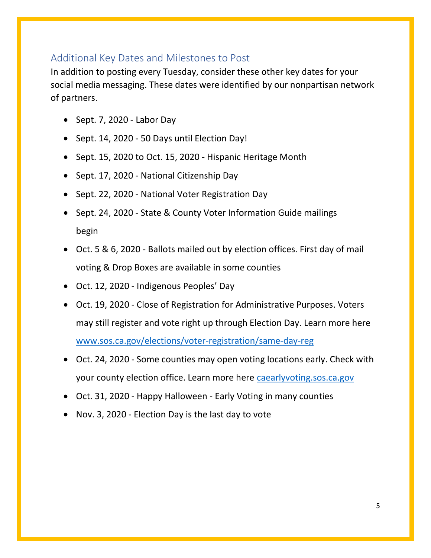## <span id="page-4-0"></span>Additional Key Dates and Milestones to Post

In addition to posting every Tuesday, consider these other key dates for your social media messaging. These dates were identified by our nonpartisan network of partners.

- Sept. 7, 2020 Labor Day
- Sept. 14, 2020 50 Days until Election Day!
- Sept. 15, 2020 to Oct. 15, 2020 Hispanic Heritage Month
- Sept. 17, 2020 National Citizenship Day
- Sept. 22, 2020 National Voter Registration Day
- Sept. 24, 2020 State & County Voter Information Guide mailings begin
- Oct. 5 & 6, 2020 Ballots mailed out by election offices. First day of mail voting & Drop Boxes are available in some counties
- Oct. 12, 2020 Indigenous Peoples' Day
- Oct. 19, 2020 Close of Registration for Administrative Purposes. Voters may still register and vote right up through Election Day. Learn more here [www.sos.ca.gov/elections/voter-registration/same-day-reg](http://www.sos.ca.gov/elections/voter-registration/same-day-reg)
- Oct. 24, 2020 Some counties may open voting locations early. Check with your county election office. Learn more here [caearlyvoting.sos.ca.gov](https://caearlyvoting.sos.ca.gov/)
- Oct. 31, 2020 Happy Halloween Early Voting in many counties
- Nov. 3, 2020 Election Day is the last day to vote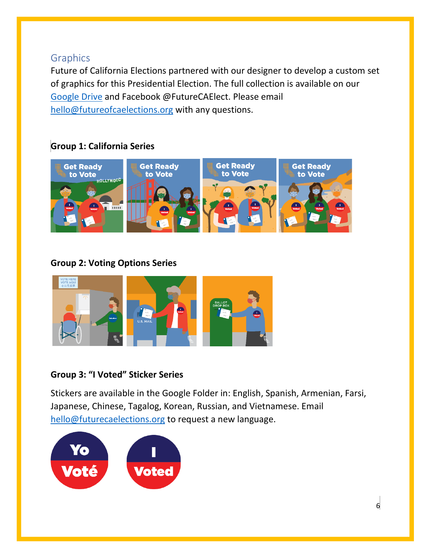## <span id="page-5-0"></span>**Graphics**

Future of California Elections partnered with our designer to develop a custom set of graphics for this Presidential Election. The full collection is available on our [Google Drive](https://drive.google.com/drive/folders/1o06MJWRyaJ7fT4w7pz-dO7mTYQnfONh7?usp=sharing) and Facebook @FutureCAElect. Please email [hello@futureofcaelections.org](mailto:hello@futureofcaelections.org) with any questions.

## **Group 1: California Series**



#### **Group 2: Voting Options Series**



#### **Group 3: "I Voted" Sticker Series**

Stickers are available in the Google Folder in: English, Spanish, Armenian, Farsi, Japanese, Chinese, Tagalog, Korean, Russian, and Vietnamese. Email [hello@futurecaelections.org](mailto:hello@futurecaelections.org) to request a new language.

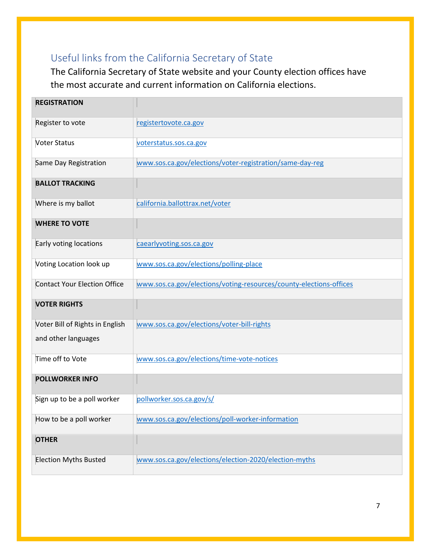# <span id="page-6-0"></span>Useful links from the California Secretary of State

The California Secretary of State website and your County election offices have the most accurate and current information on California elections.

| <b>REGISTRATION</b>                 |                                                                    |
|-------------------------------------|--------------------------------------------------------------------|
| Register to vote                    | registertovote.ca.gov                                              |
| <b>Voter Status</b>                 | voterstatus.sos.ca.gov                                             |
| Same Day Registration               | www.sos.ca.gov/elections/voter-registration/same-day-reg           |
| <b>BALLOT TRACKING</b>              |                                                                    |
| Where is my ballot                  | california.ballottrax.net/voter                                    |
| <b>WHERE TO VOTE</b>                |                                                                    |
| Early voting locations              | caearlyvoting.sos.ca.gov                                           |
| Voting Location look up             | www.sos.ca.gov/elections/polling-place                             |
| <b>Contact Your Election Office</b> | www.sos.ca.gov/elections/voting-resources/county-elections-offices |
| <b>VOTER RIGHTS</b>                 |                                                                    |
| Voter Bill of Rights in English     | www.sos.ca.gov/elections/voter-bill-rights                         |
| and other languages                 |                                                                    |
| Time off to Vote                    | www.sos.ca.gov/elections/time-vote-notices                         |
| <b>POLLWORKER INFO</b>              |                                                                    |
| Sign up to be a poll worker         | pollworker.sos.ca.gov/s/                                           |
| How to be a poll worker             | www.sos.ca.gov/elections/poll-worker-information                   |
| <b>OTHER</b>                        |                                                                    |
| <b>Election Myths Busted</b>        | www.sos.ca.gov/elections/election-2020/election-myths              |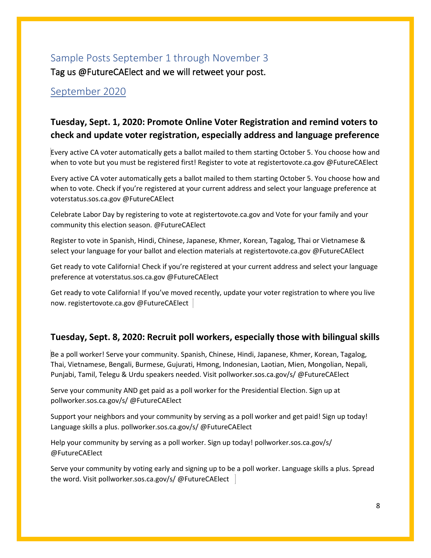## <span id="page-7-0"></span>Sample Posts September 1 through November 3

Tag us @FutureCAElect and we will retweet your post.

#### <span id="page-7-1"></span>September 2020

## **Tuesday, Sept. 1, 2020: Promote Online Voter Registration and remind voters to check and update voter registration, especially address and language preference**

Every active CA voter automatically gets a ballot mailed to them starting October 5. You choose how and when to vote but you must be registered first! Register to vote at registertovote.ca.gov @FutureCAElect

Every active CA voter automatically gets a ballot mailed to them starting October 5. You choose how and when to vote. Check if you're registered at your current address and select your language preference at voterstatus.sos.ca.gov @FutureCAElect

Celebrate Labor Day by registering to vote at registertovote.ca.gov and Vote for your family and your community this election season. @FutureCAElect

Register to vote in Spanish, Hindi, Chinese, Japanese, Khmer, Korean, Tagalog, Thai or Vietnamese & select your language for your ballot and election materials at registertovote.ca.gov @FutureCAElect

Get ready to vote California! Check if you're registered at your current address and select your language preference at voterstatus.sos.ca.gov @FutureCAElect

Get ready to vote California! If you've moved recently, update your voter registration to where you live now. registertovote.ca.gov @FutureCAElect

#### **Tuesday, Sept. 8, 2020: Recruit poll workers, especially those with bilingual skills**

Be a poll worker! Serve your community. Spanish, Chinese, Hindi, Japanese, Khmer, Korean, Tagalog, Thai, Vietnamese, Bengali, Burmese, Gujurati, Hmong, Indonesian, Laotian, Mien, Mongolian, Nepali, Punjabi, Tamil, Telegu & Urdu speakers needed. Visit pollworker.sos.ca.gov/s/ @FutureCAElect

Serve your community AND get paid as a poll worker for the Presidential Election. Sign up at pollworker.sos.ca.gov/s/ @FutureCAElect

Support your neighbors and your community by serving as a poll worker and get paid! Sign up today! Language skills a plus. pollworker.sos.ca.gov/s/ @FutureCAElect

Help your community by serving as a poll worker. Sign up today! pollworker.sos.ca.gov/s/ @FutureCAElect

Serve your community by voting early and signing up to be a poll worker. Language skills a plus. Spread the word. Visit pollworker.sos.ca.gov/s/ @FutureCAElect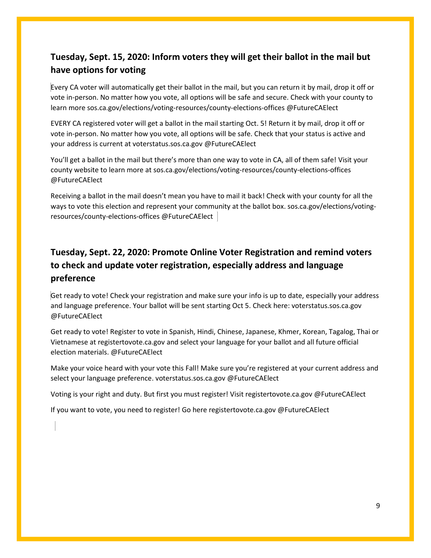## **Tuesday, Sept. 15, 2020: Inform voters they will get their ballot in the mail but have options for voting**

Every CA voter will automatically get their ballot in the mail, but you can return it by mail, drop it off or vote in-person. No matter how you vote, all options will be safe and secure. Check with your county to learn more sos.ca.gov/elections/voting-resources/county-elections-offices @FutureCAElect

EVERY CA registered voter will get a ballot in the mail starting Oct. 5! Return it by mail, drop it off or vote in-person. No matter how you vote, all options will be safe. Check that your status is active and your address is current at voterstatus.sos.ca.gov @FutureCAElect

You'll get a ballot in the mail but there's more than one way to vote in CA, all of them safe! Visit your county website to learn more at sos.ca.gov/elections/voting-resources/county-elections-offices @FutureCAElect

Receiving a ballot in the mail doesn't mean you have to mail it back! Check with your county for all the ways to vote this election and represent your community at the ballot box. sos.ca.gov/elections/votingresources/county-elections-offices @FutureCAElect

## **Tuesday, Sept. 22, 2020: Promote Online Voter Registration and remind voters to check and update voter registration, especially address and language preference**

Get ready to vote! Check your registration and make sure your info is up to date, especially your address and language preference. Your ballot will be sent starting Oct 5. Check here: voterstatus.sos.ca.gov @FutureCAElect

Get ready to vote! Register to vote in Spanish, Hindi, Chinese, Japanese, Khmer, Korean, Tagalog, Thai or Vietnamese at registertovote.ca.gov and select your language for your ballot and all future official election materials. @FutureCAElect

Make your voice heard with your vote this Fall! Make sure you're registered at your current address and select your language preference. voterstatus.sos.ca.gov @FutureCAElect

Voting is your right and duty. But first you must register! Visit registertovote.ca.gov @FutureCAElect

If you want to vote, you need to register! Go here registertovote.ca.gov @FutureCAElect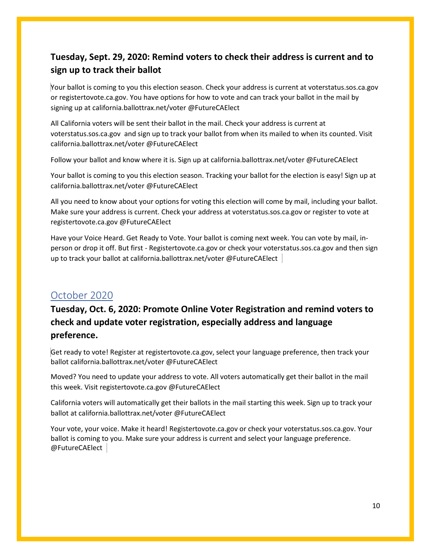#### **Tuesday, Sept. 29, 2020: Remind voters to check their address is current and to sign up to track their ballot**

Your ballot is coming to you this election season. Check your address is current at voterstatus.sos.ca.gov or registertovote.ca.gov. You have options for how to vote and can track your ballot in the mail by signing up at california.ballottrax.net/voter @FutureCAElect

All California voters will be sent their ballot in the mail. Check your address is current at voterstatus.sos.ca.gov and sign up to track your ballot from when its mailed to when its counted. Visit california.ballottrax.net/voter @FutureCAElect

Follow your ballot and know where it is. Sign up at california.ballottrax.net/voter @FutureCAElect

Your ballot is coming to you this election season. Tracking your ballot for the election is easy! Sign up at california.ballottrax.net/voter @FutureCAElect

All you need to know about your options for voting this election will come by mail, including your ballot. Make sure your address is current. Check your address at voterstatus.sos.ca.gov or register to vote at registertovote.ca.gov @FutureCAElect

Have your Voice Heard. Get Ready to Vote. Your ballot is coming next week. You can vote by mail, inperson or drop it off. But first - Registertovote.ca.gov or check your voterstatus.sos.ca.gov and then sign up to track your ballot at california.ballottrax.net/voter @FutureCAElect

#### <span id="page-9-0"></span>October 2020

## **Tuesday, Oct. 6, 2020: Promote Online Voter Registration and remind voters to check and update voter registration, especially address and language preference.**

Get ready to vote! Register at registertovote.ca.gov, select your language preference, then track your ballot california.ballottrax.net/voter @FutureCAElect

Moved? You need to update your address to vote. All voters automatically get their ballot in the mail this week. Visit registertovote.ca.gov @FutureCAElect

California voters will automatically get their ballots in the mail starting this week. Sign up to track your ballot at california.ballottrax.net/voter @FutureCAElect

Your vote, your voice. Make it heard! Registertovote.ca.gov or check your voterstatus.sos.ca.gov. Your ballot is coming to you. Make sure your address is current and select your language preference. @FutureCAElect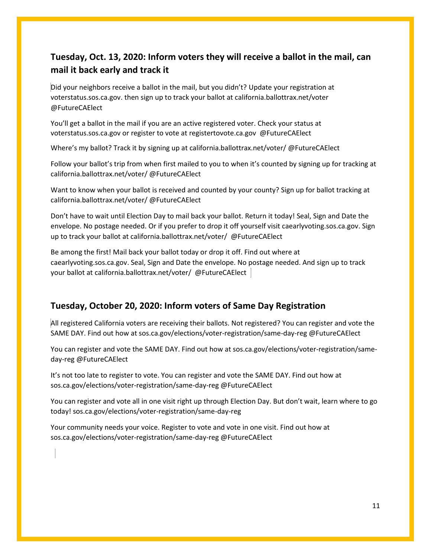#### **Tuesday, Oct. 13, 2020: Inform voters they will receive a ballot in the mail, can mail it back early and track it**

Did your neighbors receive a ballot in the mail, but you didn't? Update your registration at voterstatus.sos.ca.gov. then sign up to track your ballot at california.ballottrax.net/voter @FutureCAElect

You'll get a ballot in the mail if you are an active registered voter. Check your status at voterstatus.sos.ca.gov or register to vote at registertovote.ca.gov @FutureCAElect

Where's my ballot? Track it by signing up at california.ballottrax.net/voter/ @FutureCAElect

Follow your ballot's trip from when first mailed to you to when it's counted by signing up for tracking at california.ballottrax.net/voter/ @FutureCAElect

Want to know when your ballot is received and counted by your county? Sign up for ballot tracking at california.ballottrax.net/voter/ @FutureCAElect

Don't have to wait until Election Day to mail back your ballot. Return it today! Seal, Sign and Date the envelope. No postage needed. Or if you prefer to drop it off yourself visit caearlyvoting.sos.ca.gov. Sign up to track your ballot at california.ballottrax.net/voter/ @FutureCAElect

Be among the first! Mail back your ballot today or drop it off. Find out where at caearlyvoting.sos.ca.gov. Seal, Sign and Date the envelope. No postage needed. And sign up to track your ballot at california.ballottrax.net/voter/ @FutureCAElect

#### **Tuesday, October 20, 2020: Inform voters of Same Day Registration**

All registered California voters are receiving their ballots. Not registered? You can register and vote the SAME DAY. Find out how at sos.ca.gov/elections/voter-registration/same-day-reg @FutureCAElect

You can register and vote the SAME DAY. Find out how at sos.ca.gov/elections/voter-registration/sameday-reg @FutureCAElect

It's not too late to register to vote. You can register and vote the SAME DAY. Find out how at sos.ca.gov/elections/voter-registration/same-day-reg @FutureCAElect

You can register and vote all in one visit right up through Election Day. But don't wait, learn where to go today! sos.ca.gov/elections/voter-registration/same-day-reg

Your community needs your voice. Register to vote and vote in one visit. Find out how at sos.ca.gov/elections/voter-registration/same-day-reg @FutureCAElect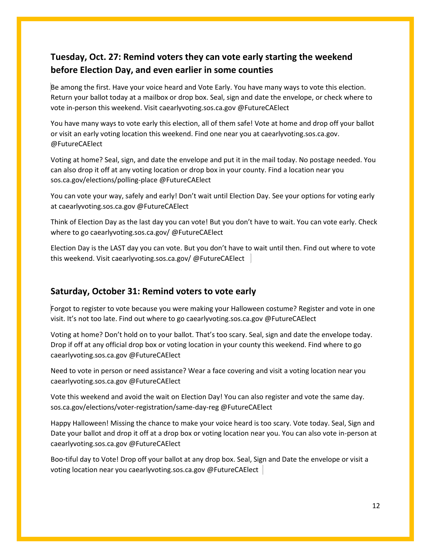#### **Tuesday, Oct. 27: Remind voters they can vote early starting the weekend before Election Day, and even earlier in some counties**

Be among the first. Have your voice heard and Vote Early. You have many ways to vote this election. Return your ballot today at a mailbox or drop box. Seal, sign and date the envelope, or check where to vote in-person this weekend. Visit caearlyvoting.sos.ca.gov @FutureCAElect

You have many ways to vote early this election, all of them safe! Vote at home and drop off your ballot or visit an early voting location this weekend. Find one near you at caearlyvoting.sos.ca.gov. @FutureCAElect

Voting at home? Seal, sign, and date the envelope and put it in the mail today. No postage needed. You can also drop it off at any voting location or drop box in your county. Find a location near you sos.ca.gov/elections/polling-place @FutureCAElect

You can vote your way, safely and early! Don't wait until Election Day. See your options for voting early at caearlyvoting.sos.ca.gov @FutureCAElect

Think of Election Day as the last day you can vote! But you don't have to wait. You can vote early. Check where to go caearlyvoting.sos.ca.gov/ @FutureCAElect

Election Day is the LAST day you can vote. But you don't have to wait until then. Find out where to vote this weekend. Visit caearlyvoting.sos.ca.gov/ @FutureCAElect

#### **Saturday, October 31: Remind voters to vote early**

Forgot to register to vote because you were making your Halloween costume? Register and vote in one visit. It's not too late. Find out where to go caearlyvoting.sos.ca.gov @FutureCAElect

Voting at home? Don't hold on to your ballot. That's too scary. Seal, sign and date the envelope today. Drop if off at any official drop box or voting location in your county this weekend. Find where to go caearlyvoting.sos.ca.gov @FutureCAElect

Need to vote in person or need assistance? Wear a face covering and visit a voting location near you caearlyvoting.sos.ca.gov @FutureCAElect

Vote this weekend and avoid the wait on Election Day! You can also register and vote the same day. sos.ca.gov/elections/voter-registration/same-day-reg @FutureCAElect

Happy Halloween! Missing the chance to make your voice heard is too scary. Vote today. Seal, Sign and Date your ballot and drop it off at a drop box or voting location near you. You can also vote in-person at caearlyvoting.sos.ca.gov @FutureCAElect

Boo-tiful day to Vote! Drop off your ballot at any drop box. Seal, Sign and Date the envelope or visit a voting location near you caearlyvoting.sos.ca.gov @FutureCAElect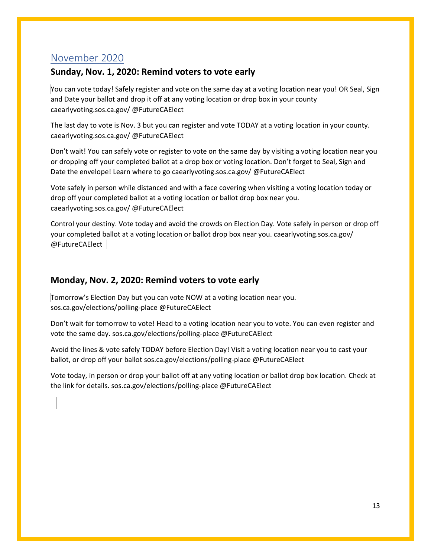#### <span id="page-12-0"></span>November 2020

#### **Sunday, Nov. 1, 2020: Remind voters to vote early**

You can vote today! Safely register and vote on the same day at a voting location near you! OR Seal, Sign and Date your ballot and drop it off at any voting location or drop box in your county caearlyvoting.sos.ca.gov/ @FutureCAElect

The last day to vote is Nov. 3 but you can register and vote TODAY at a voting location in your county. caearlyvoting.sos.ca.gov/ @FutureCAElect

Don't wait! You can safely vote or register to vote on the same day by visiting a voting location near you or dropping off your completed ballot at a drop box or voting location. Don't forget to Seal, Sign and Date the envelope! Learn where to go caearlyvoting.sos.ca.gov/ @FutureCAElect

Vote safely in person while distanced and with a face covering when visiting a voting location today or drop off your completed ballot at a voting location or ballot drop box near you. caearlyvoting.sos.ca.gov/ @FutureCAElect

Control your destiny. Vote today and avoid the crowds on Election Day. Vote safely in person or drop off your completed ballot at a voting location or ballot drop box near you. caearlyvoting.sos.ca.gov/ @FutureCAElect

#### **Monday, Nov. 2, 2020: Remind voters to vote early**

Tomorrow's Election Day but you can vote NOW at a voting location near you. sos.ca.gov/elections/polling-place @FutureCAElect

Don't wait for tomorrow to vote! Head to a voting location near you to vote. You can even register and vote the same day. sos.ca.gov/elections/polling-place @FutureCAElect

Avoid the lines & vote safely TODAY before Election Day! Visit a voting location near you to cast your ballot, or drop off your ballot sos.ca.gov/elections/polling-place @FutureCAElect

Vote today, in person or drop your ballot off at any voting location or ballot drop box location. Check at the link for details. sos.ca.gov/elections/polling-place @FutureCAElect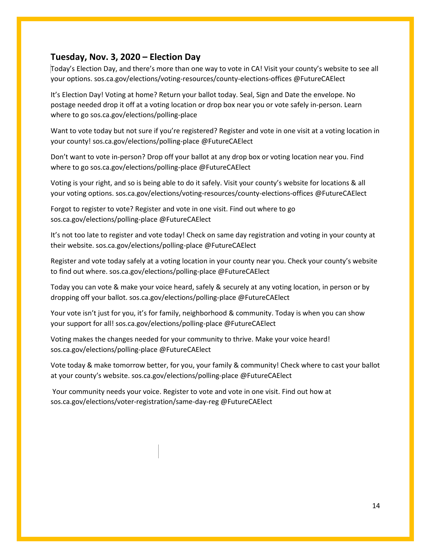#### **Tuesday, Nov. 3, 2020 – Election Day**

Today's Election Day, and there's more than one way to vote in CA! Visit your county's website to see all your options. sos.ca.gov/elections/voting-resources/county-elections-offices @FutureCAElect

It's Election Day! Voting at home? Return your ballot today. Seal, Sign and Date the envelope. No postage needed drop it off at a voting location or drop box near you or vote safely in-person. Learn where to go sos.ca.gov/elections/polling-place

Want to vote today but not sure if you're registered? Register and vote in one visit at a voting location in your county! sos.ca.gov/elections/polling-place @FutureCAElect

Don't want to vote in-person? Drop off your ballot at any drop box or voting location near you. Find where to go sos.ca.gov/elections/polling-place @FutureCAElect

Voting is your right, and so is being able to do it safely. Visit your county's website for locations & all your voting options. sos.ca.gov/elections/voting-resources/county-elections-offices @FutureCAElect

Forgot to register to vote? Register and vote in one visit. Find out where to go sos.ca.gov/elections/polling-place @FutureCAElect

It's not too late to register and vote today! Check on same day registration and voting in your county at their website. sos.ca.gov/elections/polling-place @FutureCAElect

Register and vote today safely at a voting location in your county near you. Check your county's website to find out where. sos.ca.gov/elections/polling-place @FutureCAElect

Today you can vote & make your voice heard, safely & securely at any voting location, in person or by dropping off your ballot. sos.ca.gov/elections/polling-place @FutureCAElect

Your vote isn't just for you, it's for family, neighborhood & community. Today is when you can show your support for all! sos.ca.gov/elections/polling-place @FutureCAElect

Voting makes the changes needed for your community to thrive. Make your voice heard! sos.ca.gov/elections/polling-place @FutureCAElect

Vote today & make tomorrow better, for you, your family & community! Check where to cast your ballot at your county's website. sos.ca.gov/elections/polling-place @FutureCAElect

Your community needs your voice. Register to vote and vote in one visit. Find out how at sos.ca.gov/elections/voter-registration/same-day-reg @FutureCAElect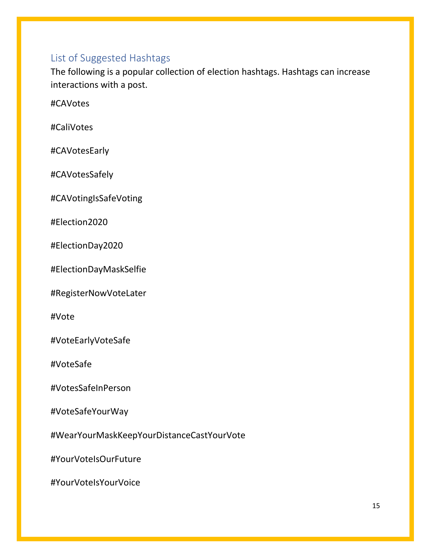## <span id="page-14-0"></span>List of Suggested Hashtags

The following is a popular collection of election hashtags. Hashtags can increase interactions with a post.

#CAVotes

#CaliVotes

#CAVotesEarly

#CAVotesSafely

#CAVotingIsSafeVoting

#Election2020

#ElectionDay2020

#ElectionDayMaskSelfie

#RegisterNowVoteLater

#Vote

#VoteEarlyVoteSafe

#VoteSafe

#VotesSafeInPerson

#VoteSafeYourWay

#WearYourMaskKeepYourDistanceCastYourVote

#YourVoteIsOurFuture

#YourVoteIsYourVoice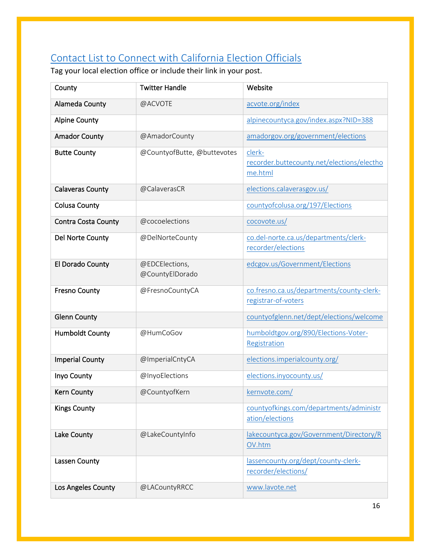# <span id="page-15-0"></span>Contact List to Connect with California Election Officials

Tag your local election office or include their link in your post.

| County                     | <b>Twitter Handle</b>             | Website                                                          |
|----------------------------|-----------------------------------|------------------------------------------------------------------|
| Alameda County             | @ACVOTE                           | acvote.org/index                                                 |
| <b>Alpine County</b>       |                                   | alpinecountyca.gov/index.aspx?NID=388                            |
| <b>Amador County</b>       | @AmadorCounty                     | amadorgov.org/government/elections                               |
| <b>Butte County</b>        | @CountyofButte, @buttevotes       | clerk-<br>recorder.buttecounty.net/elections/electho<br>me.html  |
| <b>Calaveras County</b>    | @CalaverasCR                      | elections.calaverasgov.us/                                       |
| <b>Colusa County</b>       |                                   | countyofcolusa.org/197/Elections                                 |
| <b>Contra Costa County</b> | @cocoelections                    | cocovote.us/                                                     |
| Del Norte County           | @DelNorteCounty                   | co.del-norte.ca.us/departments/clerk-<br>recorder/elections      |
| El Dorado County           | @EDCElections,<br>@CountyElDorado | edcgov.us/Government/Elections                                   |
| <b>Fresno County</b>       | @FresnoCountyCA                   | co.fresno.ca.us/departments/county-clerk-<br>registrar-of-voters |
| <b>Glenn County</b>        |                                   | countyofglenn.net/dept/elections/welcome                         |
| <b>Humboldt County</b>     | @HumCoGov                         | humboldtgov.org/890/Elections-Voter-<br>Registration             |
| <b>Imperial County</b>     | @ImperialCntyCA                   | elections.imperialcounty.org/                                    |
| Inyo County                | @InyoElections                    | elections.inyocounty.us/                                         |
| <b>Kern County</b>         | @CountyofKern                     | kernvote.com/                                                    |
| <b>Kings County</b>        |                                   | countyofkings.com/departments/administr<br>ation/elections       |
| Lake County                | @LakeCountyInfo                   | lakecountyca.gov/Government/Directory/R<br>OV.htm                |
| Lassen County              |                                   | lassencounty.org/dept/county-clerk-<br>recorder/elections/       |
| Los Angeles County         | @LACountyRRCC                     | www.lavote.net                                                   |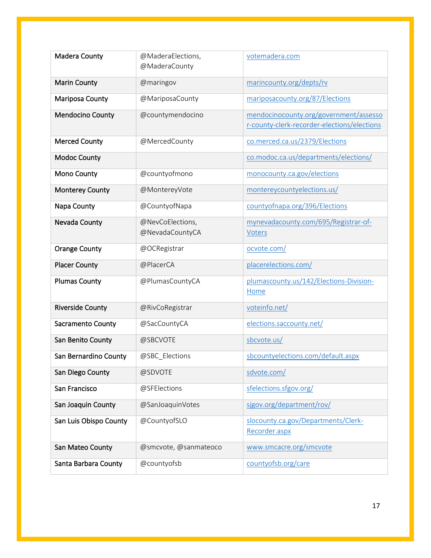| Madera County           | @MaderaElections,     | votemadera.com                              |
|-------------------------|-----------------------|---------------------------------------------|
|                         | @MaderaCounty         |                                             |
| <b>Marin County</b>     | @maringov             | marincounty.org/depts/rv                    |
| <b>Mariposa County</b>  | @MariposaCounty       | mariposacounty.org/87/Elections             |
| <b>Mendocino County</b> | @countymendocino      | mendocinocounty.org/government/assesso      |
|                         |                       | r-county-clerk-recorder-elections/elections |
| <b>Merced County</b>    | @MercedCounty         | co.merced.ca.us/2379/Elections              |
| <b>Modoc County</b>     |                       | co.modoc.ca.us/departments/elections/       |
| <b>Mono County</b>      | @countyofmono         | monocounty.ca.gov/elections                 |
| Monterey County         | @MontereyVote         | montereycountyelections.us/                 |
| Napa County             | @CountyofNapa         | countyofnapa.org/396/Elections              |
| Nevada County           | @NevCoElections,      | mynevadacounty.com/695/Registrar-of-        |
|                         | @NevadaCountyCA       | <b>Voters</b>                               |
| <b>Orange County</b>    | @OCRegistrar          | ocvote.com/                                 |
| <b>Placer County</b>    | @PlacerCA             | placerelections.com/                        |
| <b>Plumas County</b>    | @PlumasCountyCA       | plumascounty.us/142/Elections-Division-     |
|                         |                       | Home                                        |
| <b>Riverside County</b> | @RivCoRegistrar       | voteinfo.net/                               |
| Sacramento County       | @SacCountyCA          | elections.saccounty.net/                    |
| San Benito County       | @SBCVOTE              | sbcvote.us/                                 |
| San Bernardino County   | @SBC_Elections        | sbcountyelections.com/default.aspx          |
| San Diego County        | @SDVOTE               | sdvote.com/                                 |
| San Francisco           | @SFElections          | sfelections.sfgov.org/                      |
| San Joaquin County      | @SanJoaquinVotes      | sigov.org/department/rov/                   |
| San Luis Obispo County  | @CountyofSLO          | slocounty.ca.gov/Departments/Clerk-         |
|                         |                       | Recorder.aspx                               |
| San Mateo County        | @smcvote, @sanmateoco | www.smcacre.org/smcvote                     |
| Santa Barbara County    | @countyofsb           | countyofsb.org/care                         |